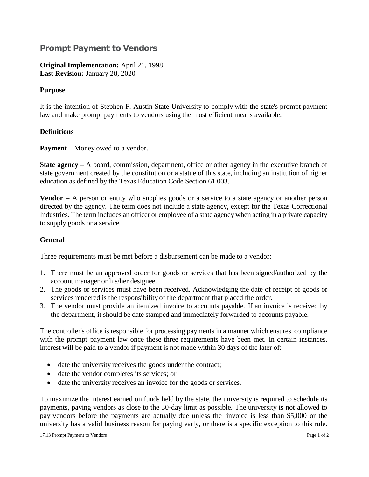## **Prompt Payment to Vendors**

**Original Implementation:** April 21, 1998 **Last Revision:** January 28, 2020

## **Purpose**

It is the intention of Stephen F. Austin State University to comply with the state's prompt payment law and make prompt payments to vendors using the most efficient means available.

## **Definitions**

**Payment** – Money owed to a vendor.

**State agency** – A board, commission, department, office or other agency in the executive branch of state government created by the constitution or a statue of this state, including an institution of higher education as defined by the Texas Education Code Section 61.003.

**Vendor** – A person or entity who supplies goods or a service to a state agency or another person directed by the agency. The term does not include a state agency, except for the Texas Correctional Industries. The term includes an officer or employee of a state agency when acting in a private capacity to supply goods or a service.

## **General**

Three requirements must be met before a disbursement can be made to a vendor:

- 1. There must be an approved order for goods or services that has been signed/authorized by the account manager or his/her designee.
- 2. The goods or services must have been received. Acknowledging the date of receipt of goods or services rendered is the responsibility of the department that placed the order.
- 3. The vendor must provide an itemized invoice to accounts payable. If an invoice is received by the department, it should be date stamped and immediately forwarded to accounts payable.

The controller's office is responsible for processing payments in a manner which ensures compliance with the prompt payment law once these three requirements have been met. In certain instances, interest will be paid to a vendor if payment is not made within 30 days of the later of:

- date the university receives the goods under the contract;
- date the vendor completes its services; or
- date the university receives an invoice for the goods or services.

To maximize the interest earned on funds held by the state, the university is required to schedule its payments, paying vendors as close to the 30-day limit as possible. The university is not allowed to pay vendors before the payments are actually due unless the invoice is less than \$5,000 or the university has a valid business reason for paying early, or there is a specific exception to this rule.